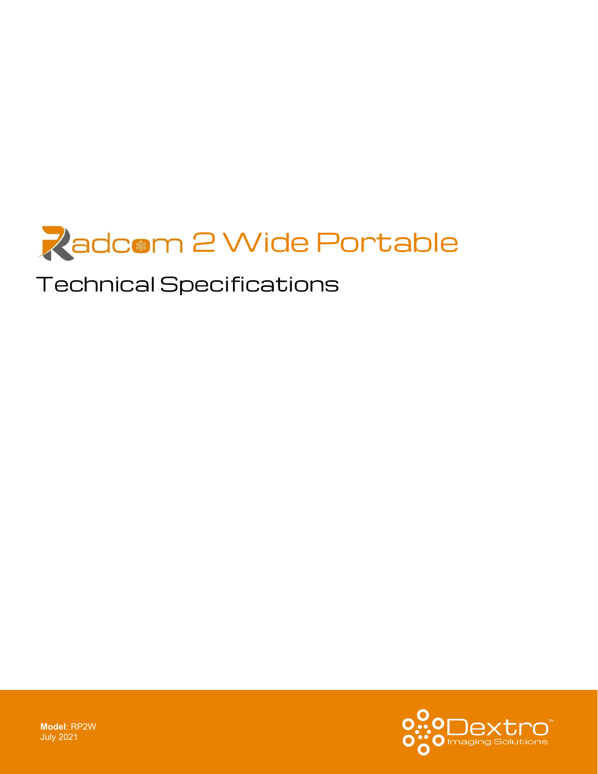

# Technical Specifications



**Model**: RP2W July 2021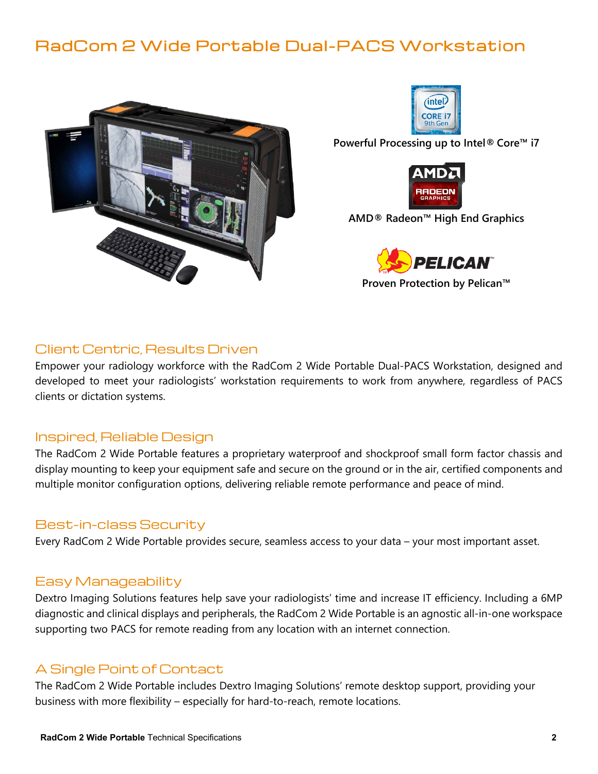## RadCom 2 Wide Portable Dual-PACS Workstation





**Powerful Processing up to Intel® Core™ i7**



**AMD® Radeon™ High End Graphics**



#### Client Centric, Results Driven

Empower your radiology workforce with the RadCom 2 Wide Portable Dual-PACS Workstation, designed and developed to meet your radiologists' workstation requirements to work from anywhere, regardless of PACS clients or dictation systems.

#### Inspired, Reliable Design

The RadCom 2 Wide Portable features a proprietary waterproof and shockproof small form factor chassis and display mounting to keep your equipment safe and secure on the ground or in the air, certified components and multiple monitor configuration options, delivering reliable remote performance and peace of mind.

#### Best-in-class Security

Every RadCom 2 Wide Portable provides secure, seamless access to your data – your most important asset.

#### Easy Manageability

Dextro Imaging Solutions features help save your radiologists' time and increase IT efficiency. Including a 6MP diagnostic and clinical displays and peripherals, the RadCom 2 Wide Portable is an agnostic all-in-one workspace supporting two PACS for remote reading from any location with an internet connection.

### A Single Point of Contact

The RadCom 2 Wide Portable includes Dextro Imaging Solutions' remote desktop support, providing your business with more flexibility – especially for hard-to-reach, remote locations.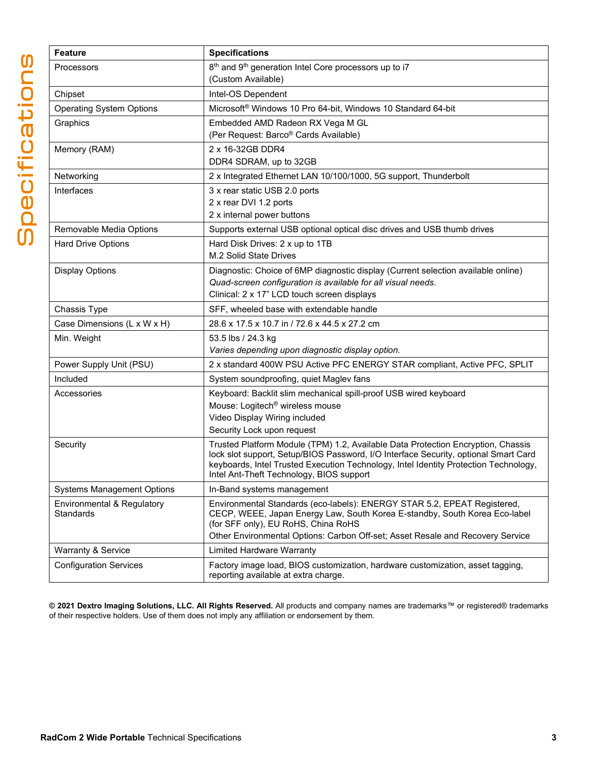| <b>Feature</b>                          | <b>Specifications</b>                                                                                                                                  |
|-----------------------------------------|--------------------------------------------------------------------------------------------------------------------------------------------------------|
| Processors                              | 8 <sup>th</sup> and 9 <sup>th</sup> generation Intel Core processors up to i7                                                                          |
|                                         | (Custom Available)                                                                                                                                     |
| Chipset                                 | Intel-OS Dependent                                                                                                                                     |
| <b>Operating System Options</b>         | Microsoft <sup>®</sup> Windows 10 Pro 64-bit, Windows 10 Standard 64-bit                                                                               |
| Graphics                                | Embedded AMD Radeon RX Vega M GL                                                                                                                       |
|                                         | (Per Request: Barco® Cards Available)                                                                                                                  |
| Memory (RAM)                            | 2 x 16-32GB DDR4                                                                                                                                       |
|                                         | DDR4 SDRAM, up to 32GB                                                                                                                                 |
| Networking                              | 2 x Integrated Ethernet LAN 10/100/1000, 5G support, Thunderbolt                                                                                       |
| Interfaces                              | 3 x rear static USB 2.0 ports                                                                                                                          |
|                                         | 2 x rear DVI 1.2 ports<br>2 x internal power buttons                                                                                                   |
| Removable Media Options                 | Supports external USB optional optical disc drives and USB thumb drives                                                                                |
| <b>Hard Drive Options</b>               | Hard Disk Drives: 2 x up to 1TB                                                                                                                        |
|                                         | M.2 Solid State Drives                                                                                                                                 |
| <b>Display Options</b>                  | Diagnostic: Choice of 6MP diagnostic display (Current selection available online)                                                                      |
|                                         | Quad-screen configuration is available for all visual needs.                                                                                           |
|                                         | Clinical: 2 x 17" LCD touch screen displays                                                                                                            |
| Chassis Type                            | SFF, wheeled base with extendable handle                                                                                                               |
| Case Dimensions (L x W x H)             | 28.6 x 17.5 x 10.7 in / 72.6 x 44.5 x 27.2 cm                                                                                                          |
| Min. Weight                             | 53.5 lbs / 24.3 kg                                                                                                                                     |
|                                         | Varies depending upon diagnostic display option.                                                                                                       |
| Power Supply Unit (PSU)                 | 2 x standard 400W PSU Active PFC ENERGY STAR compliant, Active PFC, SPLIT                                                                              |
| Included                                | System soundproofing, quiet Maglev fans                                                                                                                |
| Accessories                             | Keyboard: Backlit slim mechanical spill-proof USB wired keyboard                                                                                       |
|                                         | Mouse: Logitech <sup>®</sup> wireless mouse                                                                                                            |
|                                         | Video Display Wiring included<br>Security Lock upon request                                                                                            |
| Security                                | Trusted Platform Module (TPM) 1.2, Available Data Protection Encryption, Chassis                                                                       |
|                                         | lock slot support, Setup/BIOS Password, I/O Interface Security, optional Smart Card                                                                    |
|                                         | keyboards, Intel Trusted Execution Technology, Intel Identity Protection Technology,                                                                   |
| <b>Systems Management Options</b>       | Intel Ant-Theft Technology, BIOS support                                                                                                               |
|                                         | In-Band systems management                                                                                                                             |
| Environmental & Regulatory<br>Standards | Environmental Standards (eco-labels): ENERGY STAR 5.2, EPEAT Registered,<br>CECP, WEEE, Japan Energy Law, South Korea E-standby, South Korea Eco-label |
|                                         | (for SFF only), EU RoHS, China RoHS                                                                                                                    |
|                                         | Other Environmental Options: Carbon Off-set; Asset Resale and Recovery Service                                                                         |
| Warranty & Service                      | <b>Limited Hardware Warranty</b>                                                                                                                       |
| <b>Configuration Services</b>           | Factory image load, BIOS customization, hardware customization, asset tagging,<br>reporting available at extra charge.                                 |

**© 2021 Dextro Imaging Solutions, LLC. All Rights Reserved.** All products and company names are trademarks™ or registered® trademarks of their respective holders. Use of them does not imply any affiliation or endorsement by them.